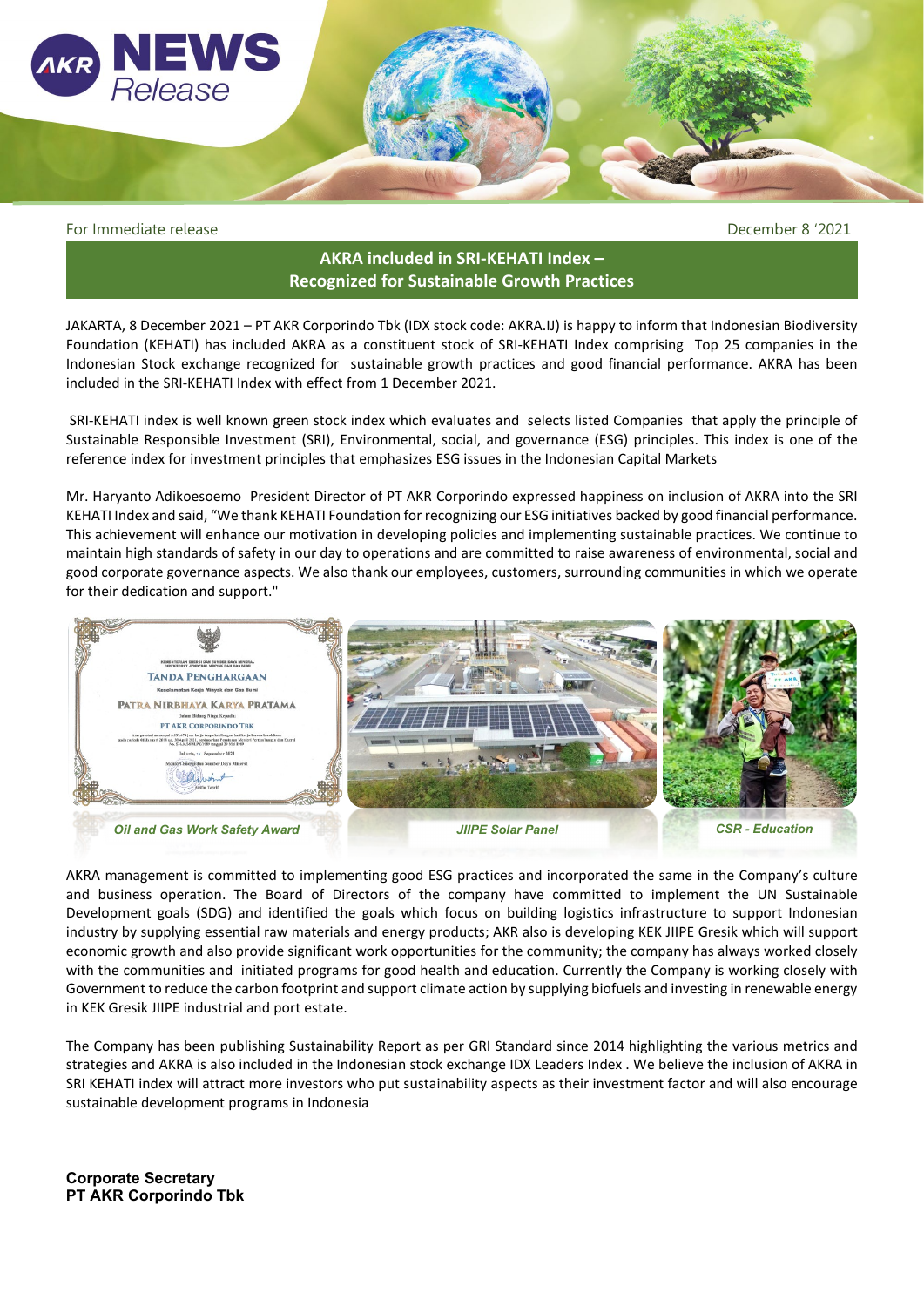

For Immediate release December 8 '2021

## **AKRA included in SRI-KEHATI Index – Recognized for Sustainable Growth Practices**

JAKARTA, 8 December 2021 – PT AKR Corporindo Tbk (IDX stock code: AKRA.IJ) is happy to inform that Indonesian Biodiversity Foundation (KEHATI) has included AKRA as a constituent stock of SRI-KEHATI Index comprising Top 25 companies in the Indonesian Stock exchange recognized for sustainable growth practices and good financial performance. AKRA has been included in the SRI-KEHATI Index with effect from 1 December 2021.

SRI-KEHATI index is well known green stock index which evaluates and selects listed Companies that apply the principle of Sustainable Responsible Investment (SRI), Environmental, social, and governance (ESG) principles. This index is one of the reference index for investment principles that emphasizes ESG issues in the Indonesian Capital Markets

Mr. Haryanto Adikoesoemo President Director of PT AKR Corporindo expressed happiness on inclusion of AKRA into the SRI KEHATI Index and said, "We thank KEHATI Foundation for recognizing our ESG initiatives backed by good financial performance. This achievement will enhance our motivation in developing policies and implementing sustainable practices. We continue to maintain high standards of safety in our day to operations and are committed to raise awareness of environmental, social and good corporate governance aspects. We also thank our employees, customers, surrounding communities in which we operate for their dedication and support."



AKRA management is committed to implementing good ESG practices and incorporated the same in the Company's culture and business operation. The Board of Directors of the company have committed to implement the UN Sustainable Development goals (SDG) and identified the goals which focus on building logistics infrastructure to support Indonesian industry by supplying essential raw materials and energy products; AKR also is developing KEK JIIPE Gresik which will support economic growth and also provide significant work opportunities for the community; the company has always worked closely with the communities and initiated programs for good health and education. Currently the Company is working closely with Government to reduce the carbon footprint and support climate action by supplying biofuels and investing in renewable energy in KEK Gresik JIIPE industrial and port estate.

The Company has been publishing Sustainability Report as per GRI Standard since 2014 highlighting the various metrics and strategies and AKRA is also included in the Indonesian stock exchange IDX Leaders Index . We believe the inclusion of AKRA in SRI KEHATI index will attract more investors who put sustainability aspects as their investment factor and will also encourage sustainable development programs in Indonesia

**Corporate Secretary PT AKR Corporindo Tbk**